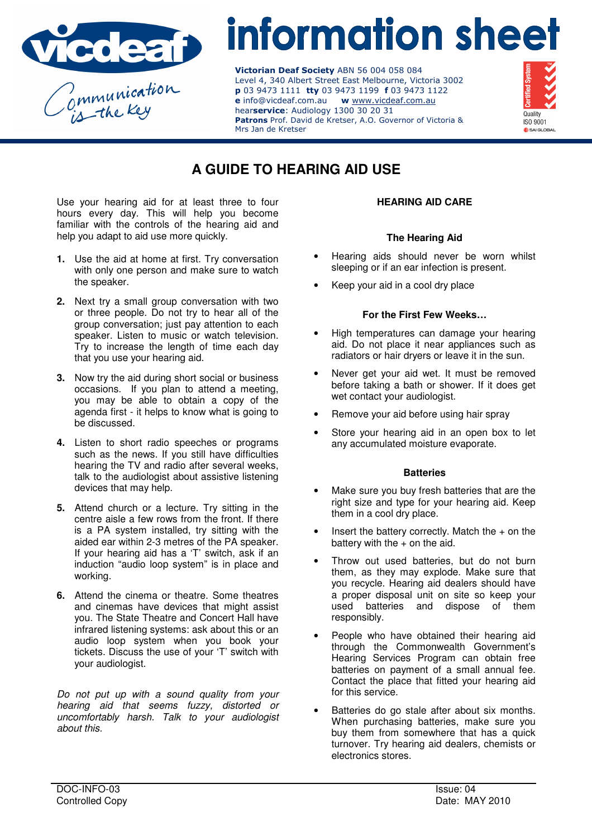

# information sheet

Victorian Deaf Society ABN 56 004 058 084 Level 4, 340 Albert Street East Melbourne, Victoria 3002 p 03 9473 1111 tty 03 9473 1199 f 03 9473 1122 e info@vicdeaf.com.au w www.vicdeaf.com.au hearservice: Audiology 1300 30 20 31 Patrons Prof. David de Kretser, A.O. Governor of Victoria & Mrs Jan de Kretser



# **A GUIDE TO HEARING AID USE**

Use your hearing aid for at least three to four hours every day. This will help you become familiar with the controls of the hearing aid and help you adapt to aid use more quickly.

- **1.** Use the aid at home at first. Try conversation with only one person and make sure to watch the speaker.
- **2.** Next try a small group conversation with two or three people. Do not try to hear all of the group conversation; just pay attention to each speaker. Listen to music or watch television. Try to increase the length of time each day that you use your hearing aid.
- **3.** Now try the aid during short social or business occasions. If you plan to attend a meeting, you may be able to obtain a copy of the agenda first - it helps to know what is going to be discussed.
- **4.** Listen to short radio speeches or programs such as the news. If you still have difficulties hearing the TV and radio after several weeks, talk to the audiologist about assistive listening devices that may help.
- **5.** Attend church or a lecture. Try sitting in the centre aisle a few rows from the front. If there is a PA system installed, try sitting with the aided ear within 2-3 metres of the PA speaker. If your hearing aid has a 'T' switch, ask if an induction "audio loop system" is in place and working.
- **6.** Attend the cinema or theatre. Some theatres and cinemas have devices that might assist you. The State Theatre and Concert Hall have infrared listening systems: ask about this or an audio loop system when you book your tickets. Discuss the use of your 'T' switch with your audiologist.

Do not put up with a sound quality from your hearing aid that seems fuzzy, distorted or uncomfortably harsh. Talk to your audiologist about this.

# **HEARING AID CARE**

# **The Hearing Aid**

- Hearing aids should never be worn whilst sleeping or if an ear infection is present.
- Keep your aid in a cool dry place

# **For the First Few Weeks…**

- High temperatures can damage your hearing aid. Do not place it near appliances such as radiators or hair dryers or leave it in the sun.
- Never get your aid wet. It must be removed before taking a bath or shower. If it does get wet contact your audiologist.
- Remove your aid before using hair spray
- Store your hearing aid in an open box to let any accumulated moisture evaporate.

# **Batteries**

- Make sure you buy fresh batteries that are the right size and type for your hearing aid. Keep them in a cool dry place.
- Insert the battery correctly. Match the  $+$  on the battery with the  $+$  on the aid.
- Throw out used batteries, but do not burn them, as they may explode. Make sure that you recycle. Hearing aid dealers should have a proper disposal unit on site so keep your used batteries and dispose of them responsibly.
- People who have obtained their hearing aid through the Commonwealth Government's Hearing Services Program can obtain free batteries on payment of a small annual fee. Contact the place that fitted your hearing aid for this service.
- Batteries do go stale after about six months. When purchasing batteries, make sure you buy them from somewhere that has a quick turnover. Try hearing aid dealers, chemists or electronics stores.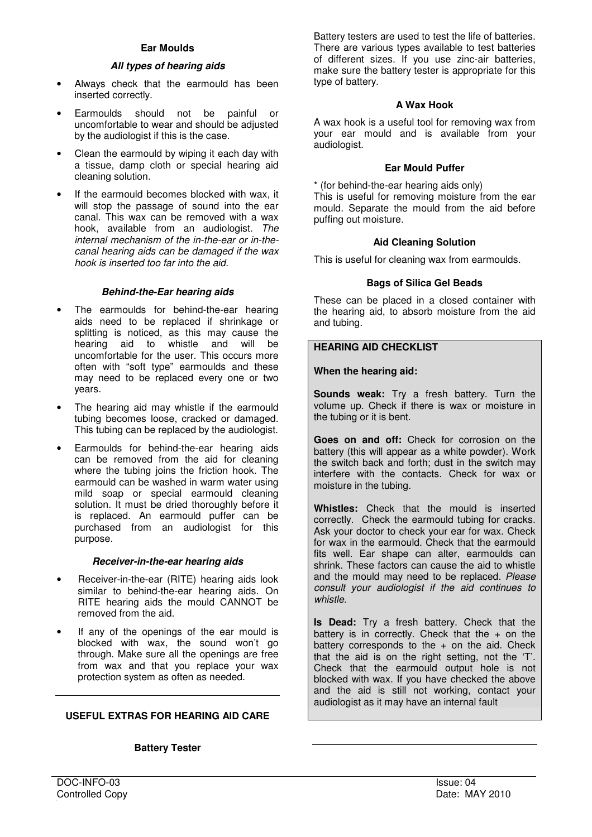# **All types of hearing aids**

- Always check that the earmould has been inserted correctly.
- Earmoulds should not be painful or uncomfortable to wear and should be adjusted by the audiologist if this is the case.
- Clean the earmould by wiping it each day with a tissue, damp cloth or special hearing aid cleaning solution.
- If the earmould becomes blocked with wax, it will stop the passage of sound into the ear canal. This wax can be removed with a wax hook, available from an audiologist. The internal mechanism of the in-the-ear or in-thecanal hearing aids can be damaged if the wax hook is inserted too far into the aid.

# **Behind-the-Ear hearing aids**

- The earmoulds for behind-the-ear hearing aids need to be replaced if shrinkage or splitting is noticed, as this may cause the hearing aid to whistle and will be uncomfortable for the user. This occurs more often with "soft type" earmoulds and these may need to be replaced every one or two years.
- The hearing aid may whistle if the earmould tubing becomes loose, cracked or damaged. This tubing can be replaced by the audiologist.
- Earmoulds for behind-the-ear hearing aids can be removed from the aid for cleaning where the tubing joins the friction hook. The earmould can be washed in warm water using mild soap or special earmould cleaning solution. It must be dried thoroughly before it is replaced. An earmould puffer can be purchased from an audiologist for this purpose.

# **Receiver-in-the-ear hearing aids**

- Receiver-in-the-ear (RITE) hearing aids look similar to behind-the-ear hearing aids. On RITE hearing aids the mould CANNOT be removed from the aid.
- If any of the openings of the ear mould is blocked with wax, the sound won't go through. Make sure all the openings are free from wax and that you replace your wax protection system as often as needed.

# **USEFUL EXTRAS FOR HEARING AID CARE**

# **Battery Tester**

Battery testers are used to test the life of batteries. There are various types available to test batteries of different sizes. If you use zinc-air batteries, make sure the battery tester is appropriate for this type of battery.

# **A Wax Hook**

A wax hook is a useful tool for removing wax from your ear mould and is available from your audiologist.

#### **Ear Mould Puffer**

\* (for behind-the-ear hearing aids only) This is useful for removing moisture from the ear mould. Separate the mould from the aid before puffing out moisture.

# **Aid Cleaning Solution**

This is useful for cleaning wax from earmoulds.

# **Bags of Silica Gel Beads**

These can be placed in a closed container with the hearing aid, to absorb moisture from the aid and tubing.

# **HEARING AID CHECKLIST**

# **When the hearing aid:**

**Sounds weak:** Try a fresh battery. Turn the volume up. Check if there is wax or moisture in the tubing or it is bent.

**Goes on and off:** Check for corrosion on the battery (this will appear as a white powder). Work the switch back and forth; dust in the switch may interfere with the contacts. Check for wax or moisture in the tubing.

**Whistles:** Check that the mould is inserted correctly. Check the earmould tubing for cracks. Ask your doctor to check your ear for wax. Check for wax in the earmould. Check that the earmould fits well. Ear shape can alter, earmoulds can shrink. These factors can cause the aid to whistle and the mould may need to be replaced. Please consult your audiologist if the aid continues to whistle.

**Is Dead:** Try a fresh battery. Check that the battery is in correctly. Check that the  $+$  on the battery corresponds to the  $+$  on the aid. Check that the aid is on the right setting, not the 'T'. Check that the earmould output hole is not blocked with wax. If you have checked the above and the aid is still not working, contact your audiologist as it may have an internal fault